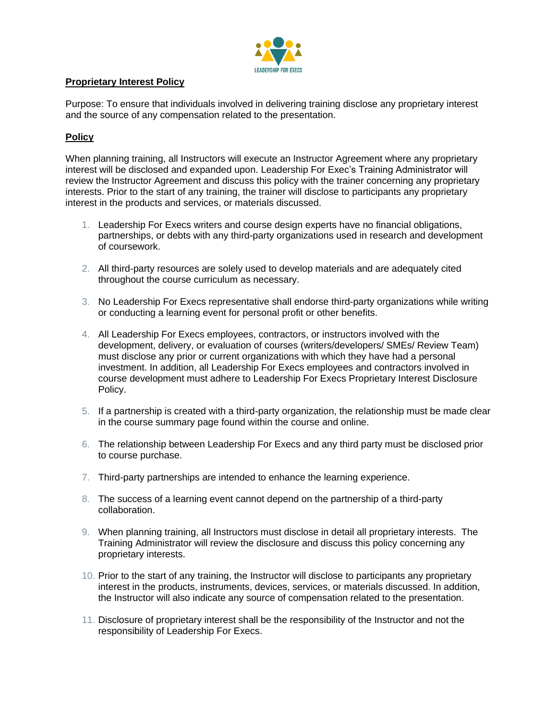

## **Proprietary Interest Policy**

Purpose: To ensure that individuals involved in delivering training disclose any proprietary interest and the source of any compensation related to the presentation.

## **Policy**

When planning training, all Instructors will execute an Instructor Agreement where any proprietary interest will be disclosed and expanded upon. Leadership For Exec's Training Administrator will review the Instructor Agreement and discuss this policy with the trainer concerning any proprietary interests. Prior to the start of any training, the trainer will disclose to participants any proprietary interest in the products and services, or materials discussed.

- 1. Leadership For Execs writers and course design experts have no financial obligations, partnerships, or debts with any third-party organizations used in research and development of coursework.
- 2. All third-party resources are solely used to develop materials and are adequately cited throughout the course curriculum as necessary.
- 3. No Leadership For Execs representative shall endorse third-party organizations while writing or conducting a learning event for personal profit or other benefits.
- 4. All Leadership For Execs employees, contractors, or instructors involved with the development, delivery, or evaluation of courses (writers/developers/ SMEs/ Review Team) must disclose any prior or current organizations with which they have had a personal investment. In addition, all Leadership For Execs employees and contractors involved in course development must adhere to Leadership For Execs Proprietary Interest Disclosure Policy.
- 5. If a partnership is created with a third-party organization, the relationship must be made clear in the course summary page found within the course and online.
- 6. The relationship between Leadership For Execs and any third party must be disclosed prior to course purchase.
- 7. Third-party partnerships are intended to enhance the learning experience.
- 8. The success of a learning event cannot depend on the partnership of a third-party collaboration.
- 9. When planning training, all Instructors must disclose in detail all proprietary interests. The Training Administrator will review the disclosure and discuss this policy concerning any proprietary interests.
- 10. Prior to the start of any training, the Instructor will disclose to participants any proprietary interest in the products, instruments, devices, services, or materials discussed. In addition, the Instructor will also indicate any source of compensation related to the presentation.
- 11. Disclosure of proprietary interest shall be the responsibility of the Instructor and not the responsibility of Leadership For Execs.